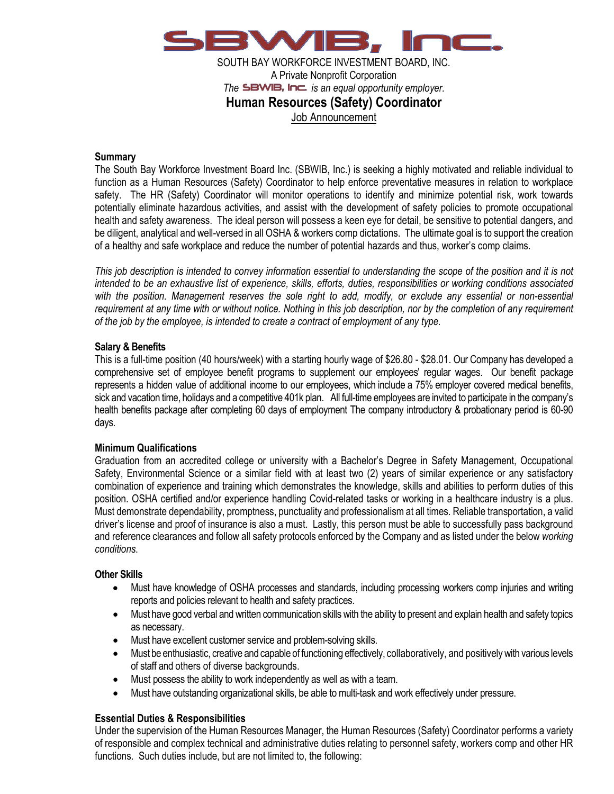

SOUTH BAY WORKFORCE INVESTMENT BOARD, INC. A Private Nonprofit Corporation *The SBWIB. Inc. is an equal opportunity employer.* **Human Resources (Safety) Coordinator** Job Announcement

### **Summary**

The South Bay Workforce Investment Board Inc. (SBWIB, Inc.) is seeking a highly motivated and reliable individual to function as a Human Resources (Safety) Coordinator to help enforce preventative measures in relation to workplace safety. The HR (Safety) Coordinator will monitor operations to identify and minimize potential risk, work towards potentially eliminate hazardous activities, and assist with the development of safety policies to promote occupational health and safety awareness. The ideal person will possess a keen eye for detail, be sensitive to potential dangers, and be diligent, analytical and well-versed in all OSHA & workers comp dictations. The ultimate goal is to support the creation of a healthy and safe workplace and reduce the number of potential hazards and thus, worker's comp claims.

*This job description is intended to convey information essential to understanding the scope of the position and it is not intended to be an exhaustive list of experience, skills, efforts, duties, responsibilities or working conditions associated*  with the position. Management reserves the sole right to add, modify, or exclude any essential or non-essential *requirement at any time with or without notice. Nothing in this job description, nor by the completion of any requirement of the job by the employee, is intended to create a contract of employment of any type.*

## **Salary & Benefits**

This is a full-time position (40 hours/week) with a starting hourly wage of \$26.80 - \$28.01. Our Company has developed a comprehensive set of employee benefit programs to supplement our employees' regular wages. Our benefit package represents a hidden value of additional income to our employees, which include a 75% employer covered medical benefits, sick and vacation time, holidays and a competitive 401k plan. All full-time employees are invited to participate in the company's health benefits package after completing 60 days of employment The company introductory & probationary period is 60-90 days.

#### **Minimum Qualifications**

Graduation from an accredited college or university with a Bachelor's Degree in Safety Management, Occupational Safety, Environmental Science or a similar field with at least two (2) years of similar experience or any satisfactory combination of experience and training which demonstrates the knowledge, skills and abilities to perform duties of this position. OSHA certified and/or experience handling Covid-related tasks or working in a healthcare industry is a plus. Must demonstrate dependability, promptness, punctuality and professionalism at all times. Reliable transportation, a valid driver's license and proof of insurance is also a must. Lastly, this person must be able to successfully pass background and reference clearances and follow all safety protocols enforced by the Company and as listed under the below *working conditions*.

#### **Other Skills**

- Must have knowledge of OSHA processes and standards, including processing workers comp injuries and writing reports and policies relevant to health and safety practices.
- Must have good verbal and written communication skills with the ability to present and explain health and safety topics as necessary.
- Must have excellent customer service and problem-solving skills.
- Must be enthusiastic, creative and capable of functioning effectively, collaboratively, and positively with various levels of staff and others of diverse backgrounds.
- Must possess the ability to work independently as well as with a team.
- Must have outstanding organizational skills, be able to multi-task and work effectively under pressure.

# **Essential Duties & Responsibilities**

Under the supervision of the Human Resources Manager, the Human Resources (Safety) Coordinator performs a variety of responsible and complex technical and administrative duties relating to personnel safety, workers comp and other HR functions. Such duties include, but are not limited to, the following: